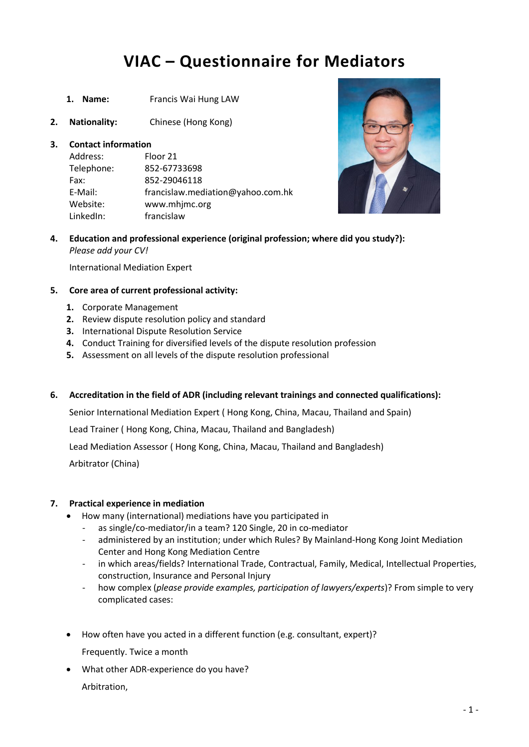# **VIAC – Questionnaire for Mediators**

- **1. Name:** Francis Wai Hung LAW
- **2. Nationality:** Chinese (Hong Kong)

### **3. Contact information**

| Address:   | Floor 21                          |
|------------|-----------------------------------|
| Telephone: | 852-67733698                      |
| Fax:       | 852-29046118                      |
| E-Mail:    | francislaw.mediation@yahoo.com.hk |
| Website:   | www.mhjmc.org                     |
| LinkedIn:  | francislaw                        |



**4. Education and professional experience (original profession; where did you study?):** *Please add your CV!*

International Mediation Expert

#### **5. Core area of current professional activity:**

- **1.** Corporate Management
- **2.** Review dispute resolution policy and standard
- **3.** International Dispute Resolution Service
- **4.** Conduct Training for diversified levels of the dispute resolution profession
- **5.** Assessment on all levels of the dispute resolution professional
- **6. Accreditation in the field of ADR (including relevant trainings and connected qualifications):**

Senior International Mediation Expert ( Hong Kong, China, Macau, Thailand and Spain)

Lead Trainer ( Hong Kong, China, Macau, Thailand and Bangladesh)

Lead Mediation Assessor ( Hong Kong, China, Macau, Thailand and Bangladesh)

Arbitrator (China)

### **7. Practical experience in mediation**

- How many (international) mediations have you participated in
	- as single/co-mediator/in a team? 120 Single, 20 in co-mediator
	- administered by an institution; under which Rules? By Mainland-Hong Kong Joint Mediation Center and Hong Kong Mediation Centre
	- in which areas/fields? International Trade, Contractual, Family, Medical, Intellectual Properties, construction, Insurance and Personal Injury
	- how complex (*please provide examples, participation of lawyers/experts*)? From simple to very complicated cases:
- How often have you acted in a different function (e.g. consultant, expert)?
	- Frequently. Twice a month
- What other ADR-experience do you have? Arbitration,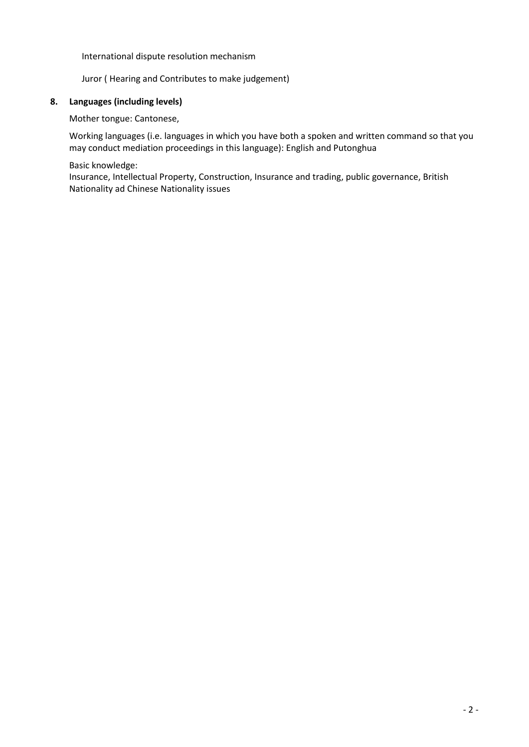International dispute resolution mechanism

Juror ( Hearing and Contributes to make judgement)

### **8. Languages (including levels)**

Mother tongue: Cantonese,

Working languages (i.e. languages in which you have both a spoken and written command so that you may conduct mediation proceedings in this language): English and Putonghua

Basic knowledge:

Insurance, Intellectual Property, Construction, Insurance and trading, public governance, British Nationality ad Chinese Nationality issues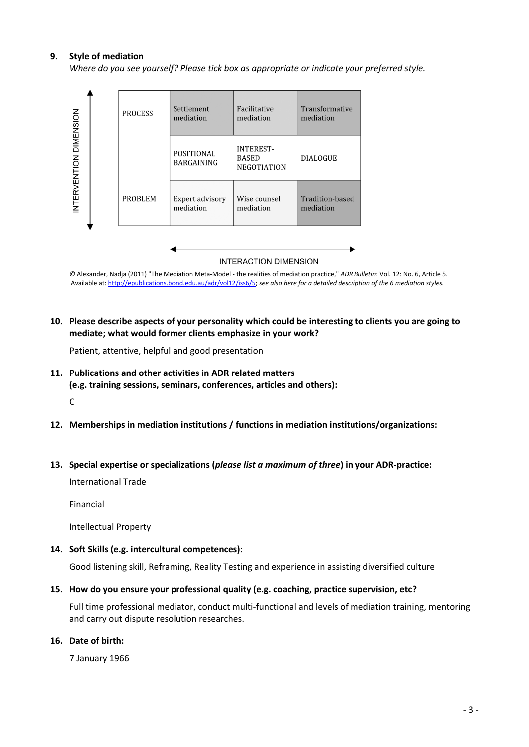#### **9. Style of mediation**

*Where do you see yourself? Please tick box as appropriate or indicate your preferred style.*



**INTERACTION DIMENSION** 

*©* Alexander, Nadja (2011) "The Mediation Meta-Model - the realities of mediation practice," *ADR Bulletin*: Vol. 12: No. 6, Article 5. Available at[: http://epublications.bond.edu.au/adr/vol12/iss6/5;](http://epublications.bond.edu.au/adr/vol12/iss6/5) *see also here for a detailed description of the 6 mediation styles.*

**10. Please describe aspects of your personality which could be interesting to clients you are going to mediate; what would former clients emphasize in your work?**

Patient, attentive, helpful and good presentation

- **11. Publications and other activities in ADR related matters (e.g. training sessions, seminars, conferences, articles and others):** C
- **12. Memberships in mediation institutions / functions in mediation institutions/organizations:**

#### **13. Special expertise or specializations (***please list a maximum of three***) in your ADR-practice:**

International Trade

Financial

Intellectual Property

**14. Soft Skills (e.g. intercultural competences):**

Good listening skill, Reframing, Reality Testing and experience in assisting diversified culture

**15. How do you ensure your professional quality (e.g. coaching, practice supervision, etc?**

Full time professional mediator, conduct multi-functional and levels of mediation training, mentoring and carry out dispute resolution researches.

#### **16. Date of birth:**

7 January 1966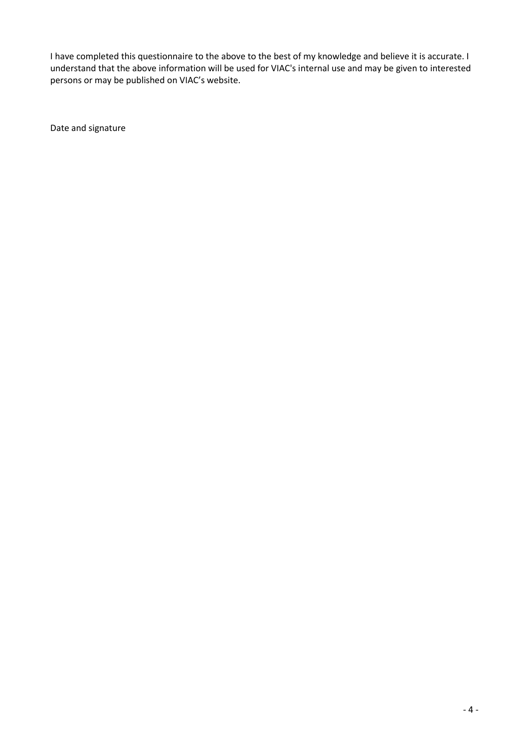I have completed this questionnaire to the above to the best of my knowledge and believe it is accurate. I understand that the above information will be used for VIAC's internal use and may be given to interested persons or may be published on VIAC's website.

Date and signature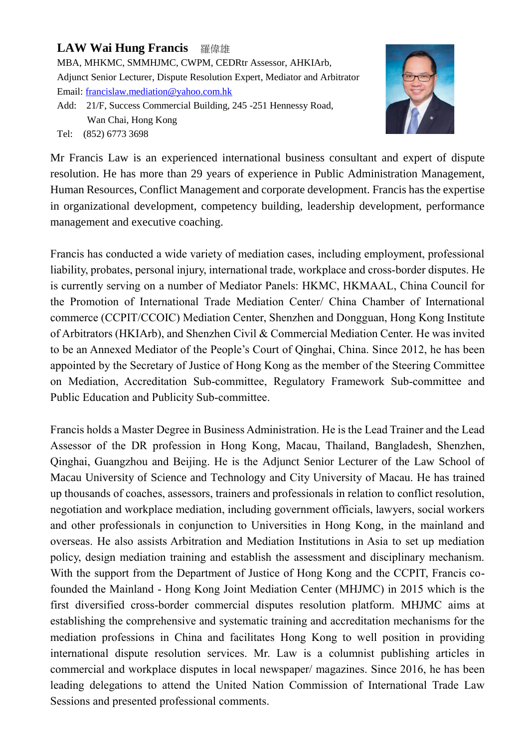# **LAW Wai Hung Francis** 羅偉雄

MBA, MHKMC, SMMHJMC, CWPM, CEDRtr Assessor, AHKIArb, Adjunct Senior Lecturer, Dispute Resolution Expert, Mediator and Arbitrator Email: [francislaw.mediation@yahoo.com.hk](mailto:francislaw.mediation@yahoo.com.hk) Add: 21/F, Success Commercial Building, 245 -251 Hennessy Road,

Wan Chai, Hong Kong Tel: (852) 6773 3698



Mr Francis Law is an experienced international business consultant and expert of dispute resolution. He has more than 29 years of experience in Public Administration Management, Human Resources, Conflict Management and corporate development. Francis has the expertise in organizational development, competency building, leadership development, performance management and executive coaching.

Francis has conducted a wide variety of mediation cases, including employment, professional liability, probates, personal injury, international trade, workplace and cross-border disputes. He is currently serving on a number of Mediator Panels: HKMC, HKMAAL, China Council for the Promotion of International Trade Mediation Center/ China Chamber of International commerce (CCPIT/CCOIC) Mediation Center, Shenzhen and Dongguan, Hong Kong Institute of Arbitrators (HKIArb), and Shenzhen Civil & Commercial Mediation Center. He was invited to be an Annexed Mediator of the People's Court of Qinghai, China. Since 2012, he has been appointed by the Secretary of Justice of Hong Kong as the member of the Steering Committee on Mediation, Accreditation Sub-committee, Regulatory Framework Sub-committee and Public Education and Publicity Sub-committee.

Francis holds a Master Degree in Business Administration. He is the Lead Trainer and the Lead Assessor of the DR profession in Hong Kong, Macau, Thailand, Bangladesh, Shenzhen, Qinghai, Guangzhou and Beijing. He is the Adjunct Senior Lecturer of the Law School of Macau University of Science and Technology and City University of Macau. He has trained up thousands of coaches, assessors, trainers and professionals in relation to conflict resolution, negotiation and workplace mediation, including government officials, lawyers, social workers and other professionals in conjunction to Universities in Hong Kong, in the mainland and overseas. He also assists Arbitration and Mediation Institutions in Asia to set up mediation policy, design mediation training and establish the assessment and disciplinary mechanism. With the support from the Department of Justice of Hong Kong and the CCPIT, Francis cofounded the Mainland - Hong Kong Joint Mediation Center (MHJMC) in 2015 which is the first diversified cross-border commercial disputes resolution platform. MHJMC aims at establishing the comprehensive and systematic training and accreditation mechanisms for the mediation professions in China and facilitates Hong Kong to well position in providing international dispute resolution services. Mr. Law is a columnist publishing articles in commercial and workplace disputes in local newspaper/ magazines. Since 2016, he has been leading delegations to attend the United Nation Commission of International Trade Law Sessions and presented professional comments.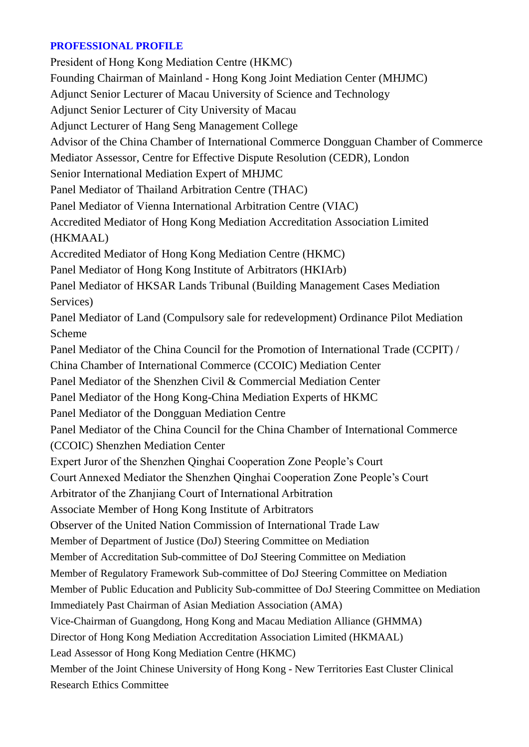### **PROFESSIONAL PROFILE**

President of Hong Kong Mediation Centre (HKMC) Founding Chairman of Mainland - Hong Kong Joint Mediation Center (MHJMC) Adjunct Senior Lecturer of Macau University of Science and Technology Adjunct Senior Lecturer of City University of Macau Adjunct Lecturer of Hang Seng Management College Advisor of the China Chamber of International Commerce Dongguan Chamber of Commerce Mediator Assessor, Centre for Effective Dispute Resolution (CEDR), London Senior International Mediation Expert of MHJMC Panel Mediator of Thailand Arbitration Centre (THAC) Panel Mediator of Vienna International Arbitration Centre (VIAC) Accredited Mediator of Hong Kong Mediation Accreditation Association Limited (HKMAAL) Accredited Mediator of Hong Kong Mediation Centre (HKMC) Panel Mediator of Hong Kong Institute of Arbitrators (HKIArb) Panel Mediator of HKSAR Lands Tribunal (Building Management Cases Mediation Services) Panel Mediator of Land (Compulsory sale for redevelopment) Ordinance Pilot Mediation Scheme Panel Mediator of the China Council for the Promotion of International Trade (CCPIT) / China Chamber of International Commerce (CCOIC) Mediation Center Panel Mediator of the Shenzhen Civil & Commercial Mediation Center Panel Mediator of the Hong Kong-China Mediation Experts of HKMC Panel Mediator of the Dongguan Mediation Centre Panel Mediator of the China Council for the China Chamber of International Commerce (CCOIC) Shenzhen Mediation Center Expert Juror of the Shenzhen Qinghai Cooperation Zone People's Court Court Annexed Mediator the Shenzhen Qinghai Cooperation Zone People's Court Arbitrator of the Zhanjiang Court of International Arbitration Associate Member of Hong Kong Institute of Arbitrators Observer of the United Nation Commission of International Trade Law Member of Department of Justice (DoJ) Steering Committee on Mediation Member of Accreditation Sub-committee of DoJ Steering Committee on Mediation Member of Regulatory Framework Sub-committee of DoJ Steering Committee on Mediation Member of Public Education and Publicity Sub-committee of DoJ Steering Committee on Mediation Immediately Past Chairman of Asian Mediation Association (AMA) Vice-Chairman of Guangdong, Hong Kong and Macau Mediation Alliance (GHMMA) Director of Hong Kong Mediation Accreditation Association Limited (HKMAAL) Lead Assessor of Hong Kong Mediation Centre (HKMC) Member of the Joint Chinese University of Hong Kong - New Territories East Cluster Clinical Research Ethics Committee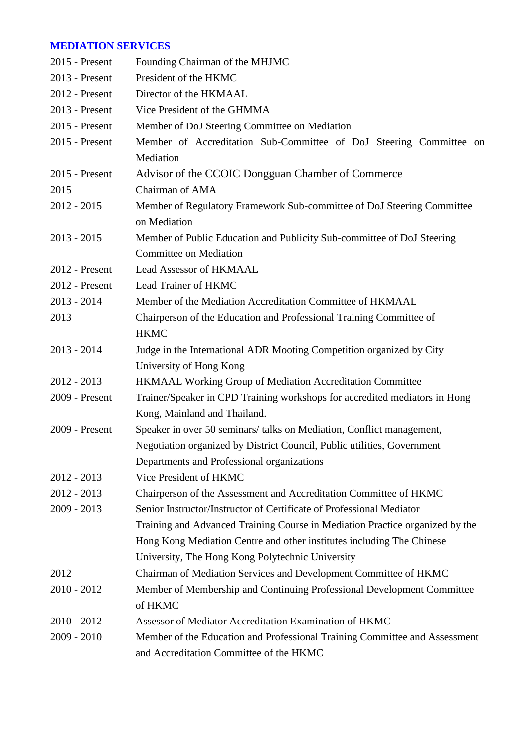# **MEDIATION SERVICES**

| 2015 - Present   | Founding Chairman of the MHJMC                                               |
|------------------|------------------------------------------------------------------------------|
| 2013 - Present   | President of the HKMC                                                        |
| 2012 - Present   | Director of the HKMAAL                                                       |
| 2013 - Present   | Vice President of the GHMMA                                                  |
| $2015$ - Present | Member of DoJ Steering Committee on Mediation                                |
| 2015 - Present   | Member of Accreditation Sub-Committee of DoJ Steering Committee on           |
|                  | Mediation                                                                    |
| $2015$ - Present | Advisor of the CCOIC Dongguan Chamber of Commerce                            |
| 2015             | Chairman of AMA                                                              |
| $2012 - 2015$    | Member of Regulatory Framework Sub-committee of DoJ Steering Committee       |
|                  | on Mediation                                                                 |
| $2013 - 2015$    | Member of Public Education and Publicity Sub-committee of DoJ Steering       |
|                  | <b>Committee on Mediation</b>                                                |
| 2012 - Present   | <b>Lead Assessor of HKMAAL</b>                                               |
| 2012 - Present   | Lead Trainer of HKMC                                                         |
| $2013 - 2014$    | Member of the Mediation Accreditation Committee of HKMAAL                    |
| 2013             | Chairperson of the Education and Professional Training Committee of          |
|                  | <b>HKMC</b>                                                                  |
| $2013 - 2014$    | Judge in the International ADR Mooting Competition organized by City         |
|                  | University of Hong Kong                                                      |
| $2012 - 2013$    | HKMAAL Working Group of Mediation Accreditation Committee                    |
| 2009 - Present   | Trainer/Speaker in CPD Training workshops for accredited mediators in Hong   |
|                  | Kong, Mainland and Thailand.                                                 |
| 2009 - Present   | Speaker in over 50 seminars/ talks on Mediation, Conflict management,        |
|                  | Negotiation organized by District Council, Public utilities, Government      |
|                  | Departments and Professional organizations                                   |
| $2012 - 2013$    | Vice President of HKMC                                                       |
| $2012 - 2013$    | Chairperson of the Assessment and Accreditation Committee of HKMC            |
| $2009 - 2013$    | Senior Instructor/Instructor of Certificate of Professional Mediator         |
|                  | Training and Advanced Training Course in Mediation Practice organized by the |
|                  | Hong Kong Mediation Centre and other institutes including The Chinese        |
|                  | University, The Hong Kong Polytechnic University                             |
| 2012             | Chairman of Mediation Services and Development Committee of HKMC             |
| $2010 - 2012$    | Member of Membership and Continuing Professional Development Committee       |
|                  | of HKMC                                                                      |
| $2010 - 2012$    | Assessor of Mediator Accreditation Examination of HKMC                       |
| $2009 - 2010$    | Member of the Education and Professional Training Committee and Assessment   |
|                  | and Accreditation Committee of the HKMC                                      |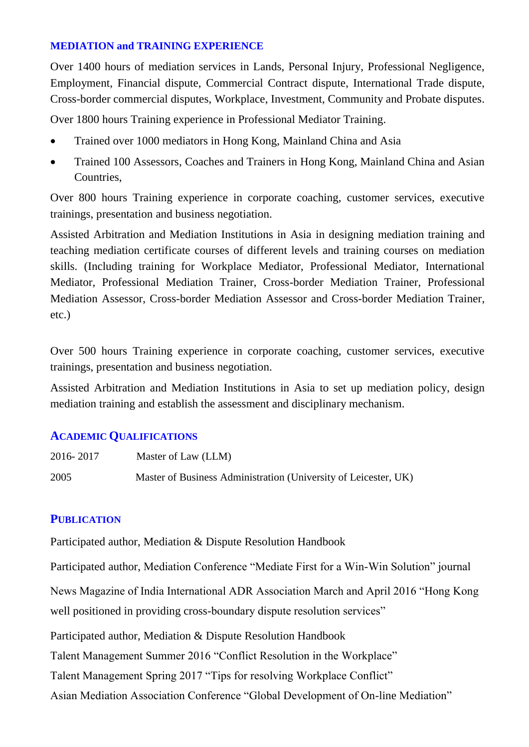### **MEDIATION and TRAINING EXPERIENCE**

Over 1400 hours of mediation services in Lands, Personal Injury, Professional Negligence, Employment, Financial dispute, Commercial Contract dispute, International Trade dispute, Cross-border commercial disputes, Workplace, Investment, Community and Probate disputes.

Over 1800 hours Training experience in Professional Mediator Training.

- Trained over 1000 mediators in Hong Kong, Mainland China and Asia
- Trained 100 Assessors, Coaches and Trainers in Hong Kong, Mainland China and Asian Countries,

Over 800 hours Training experience in corporate coaching, customer services, executive trainings, presentation and business negotiation.

Assisted Arbitration and Mediation Institutions in Asia in designing mediation training and teaching mediation certificate courses of different levels and training courses on mediation skills. (Including training for Workplace Mediator, Professional Mediator, International Mediator, Professional Mediation Trainer, Cross-border Mediation Trainer, Professional Mediation Assessor, Cross-border Mediation Assessor and Cross-border Mediation Trainer, etc.)

Over 500 hours Training experience in corporate coaching, customer services, executive trainings, presentation and business negotiation.

Assisted Arbitration and Mediation Institutions in Asia to set up mediation policy, design mediation training and establish the assessment and disciplinary mechanism.

# **ACADEMIC QUALIFICATIONS**

| 2016-2017 | Master of Law (LLM)                                             |
|-----------|-----------------------------------------------------------------|
| 2005      | Master of Business Administration (University of Leicester, UK) |

# **PUBLICATION**

Participated author, Mediation & Dispute Resolution Handbook

Participated author, Mediation Conference "Mediate First for a Win-Win Solution" journal

News Magazine of India International ADR Association March and April 2016 "Hong Kong well positioned in providing cross-boundary dispute resolution services"

Participated author, Mediation & Dispute Resolution Handbook

Talent Management Summer 2016 "Conflict Resolution in the Workplace"

Talent Management Spring 2017 "Tips for resolving Workplace Conflict"

Asian Mediation Association Conference "Global Development of On-line Mediation"